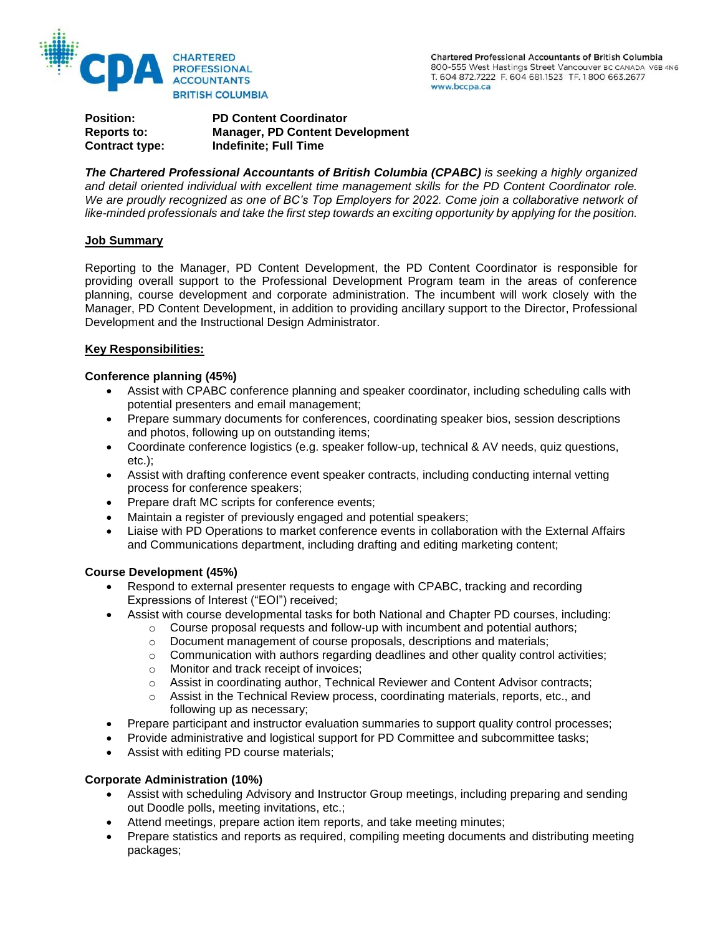

**Position: PD Content Coordinator Reports to: Manager, PD Content Development Contract type: Indefinite; Full Time**

*The Chartered Professional Accountants of British Columbia (CPABC) is seeking a highly organized and detail oriented individual with excellent time management skills for the PD Content Coordinator role.*  We are proudly recognized as one of BC's Top Employers for 2022. Come join a collaborative network of *like-minded professionals and take the first step towards an exciting opportunity by applying for the position.*

### **Job Summary**

Reporting to the Manager, PD Content Development, the PD Content Coordinator is responsible for providing overall support to the Professional Development Program team in the areas of conference planning, course development and corporate administration. The incumbent will work closely with the Manager, PD Content Development, in addition to providing ancillary support to the Director, Professional Development and the Instructional Design Administrator.

### **Key Responsibilities:**

## **Conference planning (45%)**

- Assist with CPABC conference planning and speaker coordinator, including scheduling calls with potential presenters and email management;
- Prepare summary documents for conferences, coordinating speaker bios, session descriptions and photos, following up on outstanding items;
- Coordinate conference logistics (e.g. speaker follow-up, technical & AV needs, quiz questions, etc.);
- Assist with drafting conference event speaker contracts, including conducting internal vetting process for conference speakers;
- Prepare draft MC scripts for conference events;
- Maintain a register of previously engaged and potential speakers;
- Liaise with PD Operations to market conference events in collaboration with the External Affairs and Communications department, including drafting and editing marketing content;

### **Course Development (45%)**

- Respond to external presenter requests to engage with CPABC, tracking and recording Expressions of Interest ("EOI") received;
- Assist with course developmental tasks for both National and Chapter PD courses, including:
	- $\circ$  Course proposal requests and follow-up with incumbent and potential authors;
	- o Document management of course proposals, descriptions and materials;
	- o Communication with authors regarding deadlines and other quality control activities;
	- o Monitor and track receipt of invoices;
	- o Assist in coordinating author, Technical Reviewer and Content Advisor contracts;
	- $\circ$  Assist in the Technical Review process, coordinating materials, reports, etc., and following up as necessary;
- Prepare participant and instructor evaluation summaries to support quality control processes;
- Provide administrative and logistical support for PD Committee and subcommittee tasks;
- Assist with editing PD course materials;

### **Corporate Administration (10%)**

- Assist with scheduling Advisory and Instructor Group meetings, including preparing and sending out Doodle polls, meeting invitations, etc.;
- Attend meetings, prepare action item reports, and take meeting minutes;
- Prepare statistics and reports as required, compiling meeting documents and distributing meeting packages;